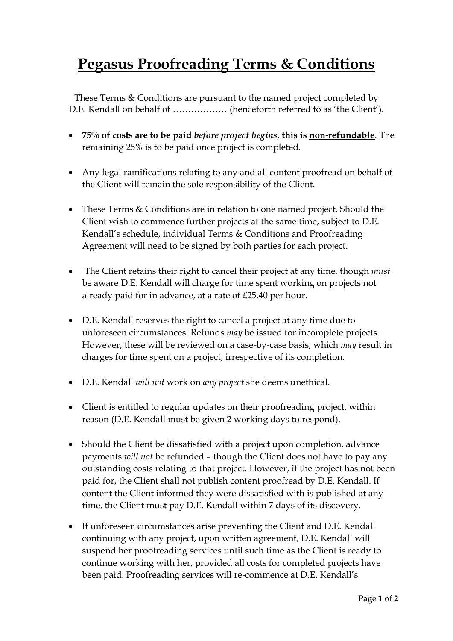## **Pegasus Proofreading Terms & Conditions**

These Terms & Conditions are pursuant to the named project completed by D.E. Kendall on behalf of ……………… (henceforth referred to as 'the Client').

- **75% of costs are to be paid** *before project begins***, this is non-refundable**. The remaining 25% is to be paid once project is completed.
- Any legal ramifications relating to any and all content proofread on behalf of the Client will remain the sole responsibility of the Client.
- These Terms & Conditions are in relation to one named project. Should the Client wish to commence further projects at the same time, subject to D.E. Kendall's schedule, individual Terms & Conditions and Proofreading Agreement will need to be signed by both parties for each project.
- The Client retains their right to cancel their project at any time, though *must* be aware D.E. Kendall will charge for time spent working on projects not already paid for in advance, at a rate of £25.40 per hour.
- D.E. Kendall reserves the right to cancel a project at any time due to unforeseen circumstances. Refunds *may* be issued for incomplete projects. However, these will be reviewed on a case-by-case basis, which *may* result in charges for time spent on a project, irrespective of its completion.
- D.E. Kendall *will not* work on *any project* she deems unethical.
- Client is entitled to regular updates on their proofreading project, within reason (D.E. Kendall must be given 2 working days to respond).
- Should the Client be dissatisfied with a project upon completion, advance payments *will not* be refunded – though the Client does not have to pay any outstanding costs relating to that project. However, if the project has not been paid for, the Client shall not publish content proofread by D.E. Kendall. If content the Client informed they were dissatisfied with is published at any time, the Client must pay D.E. Kendall within 7 days of its discovery.
- If unforeseen circumstances arise preventing the Client and D.E. Kendall continuing with any project, upon written agreement, D.E. Kendall will suspend her proofreading services until such time as the Client is ready to continue working with her, provided all costs for completed projects have been paid. Proofreading services will re-commence at D.E. Kendall's